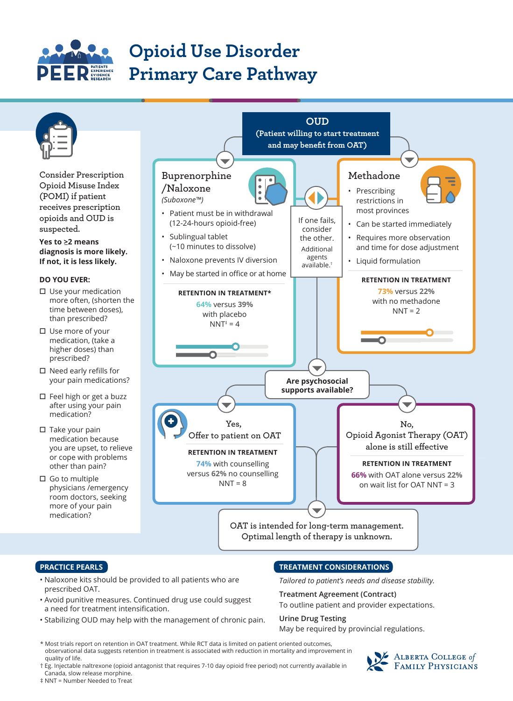

# **Opioid Use Disorder Primary Care Pathway**



#### **PRACTICE PEARLS**

- Naloxone kits should be provided to all patients who are prescribed OAT.
- Avoid punitive measures. Continued drug use could suggest a need for treatment intensification.
- Stabilizing OUD may help with the management of chronic pain.

### **TREATMENT CONSIDERATIONS**

*Tailored to patient's needs and disease stability.*

### **Treatment Agreement (Contract)**

To outline patient and provider expectations.

#### **Urine Drug Testing**

May be required by provincial regulations.

- \* Most trials report on retention in OAT treatment. While RCT data is limited on patient oriented outcomes, observational data suggests retention in treatment is associated with reduction in mortality and improvement in quality of life.
- † Eg. Injectable naltrexone (opioid antagonist that requires 7-10 day opioid free period) not currently available in Canada, slow release morphine.